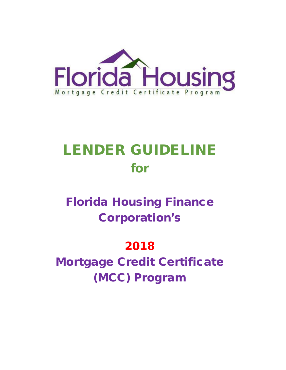

# LENDER GUIDELINE for

## Florida Housing Finance Corporation's

## 2018

Mortgage Credit Certificate (MCC) Program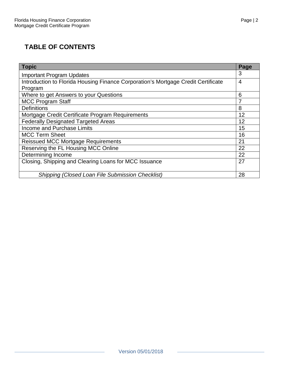## **TABLE OF CONTENTS**

| Topic                                                                             | Page           |  |  |  |
|-----------------------------------------------------------------------------------|----------------|--|--|--|
| <b>Important Program Updates</b>                                                  |                |  |  |  |
| Introduction to Florida Housing Finance Corporation's Mortgage Credit Certificate | $\overline{4}$ |  |  |  |
| Program                                                                           |                |  |  |  |
| Where to get Answers to your Questions                                            | 6              |  |  |  |
| <b>MCC Program Staff</b>                                                          | 7              |  |  |  |
| <b>Definitions</b>                                                                | 8              |  |  |  |
| Mortgage Credit Certificate Program Requirements                                  |                |  |  |  |
| <b>Federally Designated Targeted Areas</b>                                        |                |  |  |  |
| Income and Purchase Limits                                                        |                |  |  |  |
| <b>MCC Term Sheet</b>                                                             |                |  |  |  |
| <b>Reissued MCC Mortgage Requirements</b>                                         |                |  |  |  |
| Reserving the FL Housing MCC Online                                               |                |  |  |  |
| Determining Income                                                                |                |  |  |  |
| Closing, Shipping and Clearing Loans for MCC Issuance                             |                |  |  |  |
|                                                                                   |                |  |  |  |
| <b>Shipping (Closed Loan File Submission Checklist)</b>                           | 28             |  |  |  |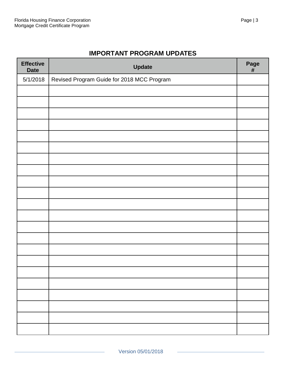## **IMPORTANT PROGRAM UPDATES**

| <b>Effective</b><br><b>Date</b> | <b>Update</b>                              | Page<br>$\#$ |
|---------------------------------|--------------------------------------------|--------------|
| 5/1/2018                        | Revised Program Guide for 2018 MCC Program |              |
|                                 |                                            |              |
|                                 |                                            |              |
|                                 |                                            |              |
|                                 |                                            |              |
|                                 |                                            |              |
|                                 |                                            |              |
|                                 |                                            |              |
|                                 |                                            |              |
|                                 |                                            |              |
|                                 |                                            |              |
|                                 |                                            |              |
|                                 |                                            |              |
|                                 |                                            |              |
|                                 |                                            |              |
|                                 |                                            |              |
|                                 |                                            |              |
|                                 |                                            |              |
|                                 |                                            |              |
|                                 |                                            |              |
|                                 |                                            |              |
|                                 |                                            |              |
|                                 |                                            |              |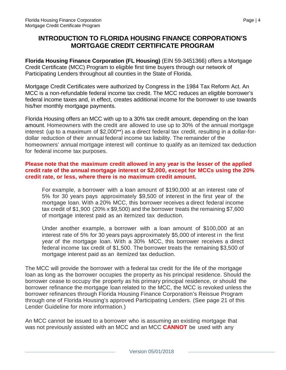## **INTRODUCTION TO FLORIDA HOUSING FINANCE CORPORATION'S MORTGAGE CREDIT CERTIFICATE PROGRAM**

**Florida Housing Finance Corporation (FL Housing)** (EIN 59-3451366) offers a Mortgage Credit Certificate (MCC) Program to eligible first time buyers through our network of Participating Lenders throughout all counties in the State of Florida.

Mortgage Credit Certificates were authorized by Congress in the 1984 Tax Reform Act. An MCC is a non-refundable federal income tax credit. The MCC reduces an eligible borrower's federal income taxes and, in effect, creates additional income for the borrower to use towards his/her monthly mortgage payments.

Florida Housing offers an MCC with up to a 30% tax credit amount, depending on the loan amount. Homeowners with the credit are allowed to use up to 30% of the annual mortgage interest (up to a maximum of \$2,000\*\*) as a direct federal tax credit, resulting in a dollar-fordollar reduction of their annual federal income tax liability. The remainder of the homeowners' annual mortgage interest will continue to qualify as an itemized tax deduction for federal income tax purposes.

#### **Please note that the maximum credit allowed in any year is the lesser of the applied credit rate of the annual mortgage interest or \$2,000, except for MCCs using the 20% credit rate, or less, where there is no maximum credit amount.**

For example, a borrower with a loan amount of \$190,000 at an interest rate of 5% for 30 years pays approximately \$9,500 of interest in the first year of the mortgage loan. With a 20% MCC, this borrower receives a direct federal income tax credit of \$1,900 (20% x \$9,500) and the borrower treats the remaining \$7,600 of mortgage interest paid as an itemized tax deduction.

Under another example, a borrower with a loan amount of \$100,000 at an interest rate of 5% for 30 years pays approximately \$5,000 of interest in the first year of the mortgage loan. With a 30% MCC, this borrower receives a direct federal income tax credit of \$1,500. The borrower treats the remaining \$3,500 of mortgage interest paid as an itemized tax deduction.

The MCC will provide the borrower with a federal tax credit for the life of the mortgage loan as long as the borrower occupies the property as his principal residence. Should the borrower cease to occupy the property as his primary principal residence, or should the borrower refinance the mortgage loan related to the MCC, the MCC is revoked unless the borrower refinances through Florida Housing Finance Corporation's Reissue Program through one of Florida Housing's approved Participating Lenders. (See page 21 of this Lender Guideline for more information.)

An MCC cannot be issued to a borrower who is assuming an existing mortgage that was not previously assisted with an MCC and an MCC **CANNOT** be used with any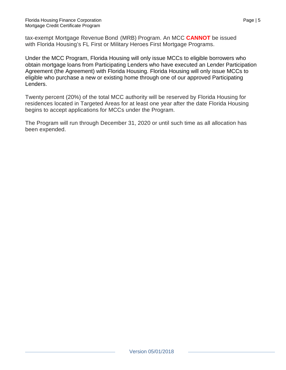tax-exempt Mortgage Revenue Bond (MRB) Program. An MCC **CANNOT** be issued with Florida Housing's FL First or Military Heroes First Mortgage Programs.

Under the MCC Program, Florida Housing will only issue MCCs to eligible borrowers who obtain mortgage loans from Participating Lenders who have executed an Lender Participation Agreement (the Agreement) with Florida Housing. Florida Housing will only issue MCCs to eligible who purchase a new or existing home through one of our approved Participating Lenders.

Twenty percent (20%) of the total MCC authority will be reserved by Florida Housing for residences located in Targeted Areas for at least one year after the date Florida Housing begins to accept applications for MCCs under the Program.

The Program will run through December 31, 2020 or until such time as all allocation has been expended.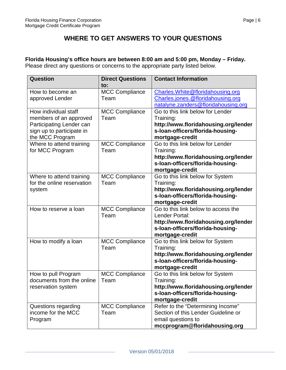## **WHERE TO GET ANSWERS TO YOUR QUESTIONS**

**Florida Housing's office hours are between 8:00 am and 5:00 pm, Monday – Friday.**  Please direct any questions or concerns to the appropriate party listed below.

| Question                   | <b>Direct Questions</b> | <b>Contact Information</b>           |
|----------------------------|-------------------------|--------------------------------------|
|                            | to:                     |                                      |
| How to become an           | <b>MCC Compliance</b>   | Charles. White @floridahousing.org   |
| approved Lender            | Team                    | Charles.jones.@floridahousing.org    |
|                            |                         | natalyne.zanders@floridahousing.org  |
| How individual staff       | <b>MCC Compliance</b>   | Go to this link below for Lender     |
| members of an approved     | Team                    | Training:                            |
| Participating Lender can   |                         | http://www.floridahousing.org/lender |
| sign up to participate in  |                         | s-loan-officers/florida-housing-     |
| the MCC Program            |                         | mortgage-credit                      |
| Where to attend training   | <b>MCC Compliance</b>   | Go to this link below for Lender     |
| for MCC Program            | Team                    | Training:                            |
|                            |                         | http://www.floridahousing.org/lender |
|                            |                         | s-Ioan-officers/florida-housing-     |
|                            |                         | mortgage-credit                      |
| Where to attend training   | <b>MCC Compliance</b>   | Go to this link below for System     |
| for the online reservation | Team                    | Training:                            |
| system                     |                         | http://www.floridahousing.org/lender |
|                            |                         | s-loan-officers/florida-housing-     |
|                            |                         | mortgage-credit                      |
| How to reserve a loan      | <b>MCC Compliance</b>   | Go to this link below to access the  |
|                            | Team                    | Lender Portal:                       |
|                            |                         | http://www.floridahousing.org/lender |
|                            |                         | s-loan-officers/florida-housing-     |
|                            |                         | mortgage-credit                      |
| How to modify a loan       | <b>MCC Compliance</b>   | Go to this link below for System     |
|                            | Team                    | Training:                            |
|                            |                         | http://www.floridahousing.org/lender |
|                            |                         | s-Ioan-officers/florida-housing-     |
|                            |                         | mortgage-credit                      |
| How to pull Program        | <b>MCC Compliance</b>   | Go to this link below for System     |
| documents from the online  | Team                    | Training:                            |
| reservation system         |                         | http://www.floridahousing.org/lender |
|                            |                         | s-loan-officers/florida-housing-     |
|                            |                         | mortgage-credit                      |
| Questions regarding        | <b>MCC Compliance</b>   | Refer to the "Determining Income"    |
| income for the MCC         | Team                    | Section of this Lender Guideline or  |
| Program                    |                         | email questions to                   |
|                            |                         | mccprogram@floridahousing.org        |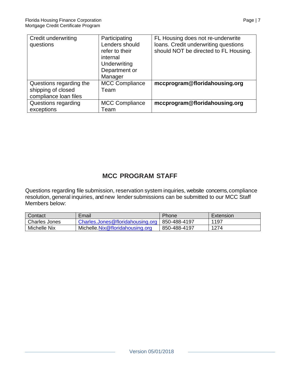| Credit underwriting     | Participating         | FL Housing does not re-underwrite     |
|-------------------------|-----------------------|---------------------------------------|
| questions               | Lenders should        | loans. Credit underwriting questions  |
|                         | refer to their        | should NOT be directed to FL Housing. |
|                         | internal              |                                       |
|                         | Underwriting          |                                       |
|                         | Department or         |                                       |
|                         | Manager               |                                       |
| Questions regarding the | <b>MCC Compliance</b> | mccprogram@floridahousing.org         |
| shipping of closed      | Team                  |                                       |
| compliance loan files   |                       |                                       |
| Questions regarding     | <b>MCC Compliance</b> | mccprogram@floridahousing.org         |
| exceptions              | Team                  |                                       |

## **MCC PROGRAM STAFF**

Questions regarding file submission, reservation system inquiries, website concerns,compliance resolution, general inquiries, and new lender submissions can be submitted to our MCC Staff Members below:

| Contact              | Email                            | Phone        | Extension |
|----------------------|----------------------------------|--------------|-----------|
| <b>Charles Jones</b> | Charles.Jones@floridahousing.org | 850-488-4197 | 1197      |
| <b>Michelle Nix</b>  | Michelle.Nix@floridahousing.org  | 850-488-4197 | 1274      |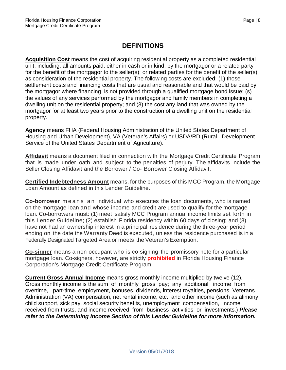## **DEFINITIONS**

**Acquisition Cost** means the cost of acquiring residential property as a completed residential unit, including: all amounts paid, either in cash or in kind, by the mortgagor or a related party for the benefit of the mortgagor to the seller(s); or related parties for the benefit of the seller(s) as consideration of the residential property. The following costs are excluded: (1) those settlement costs and financing costs that are usual and reasonable and that would be paid by the mortgagor where financing is not provided through a qualified mortgage bond issue; (s) the values of any services performed by the mortgagor and family members in completing a dwelling unit on the residential property; and (3) the cost any land that was owned by the mortgagor for at least two years prior to the construction of a dwelling unit on the residential property.

**Agency** means FHA (Federal Housing Administration of the United States Department of Housing and Urban Development), VA (Veteran's Affairs) or USDA/RD (Rural Development Service of the United States Department of Agriculture).

**Affidavit** means a document filed in connection with the Mortgage Credit Certificate Program that is made under oath and subject to the penalties of perjury. The affidavits include the Seller Closing Affidavit and the Borrower / Co- Borrower Closing Affidavit.

**Certified Indebtedness Amount** means, for the purposes of this MCC Program, the Mortgage Loan Amount as defined in this Lender Guideline.

**Co-borrower** means an individual who executes the loan documents, who is named on the mortgage loan and whose income and credit are used to qualify for the mortgage loan. Co-borrowers must: (1) meet satisfy MCC Program annual income limits set forth in this Lender Guideline; (2) establish Florida residency within 60 days of closing; and (3) have not had an ownership interest in a principal residence during the three-year period ending on the date the Warranty Deed is executed, unless the residence purchased is in a Federally Designated Targeted Area or meets the Veteran's Exemption.

**Co-signer** means a non-occupant who is co-signing the promissory note for a particular mortgage loan. Co-signers, however, are strictly **prohibited** in Florida Housing Finance Corporation's Mortgage Credit Certificate Program.

**Current Gross Annual Income** means gross monthly income multiplied by twelve (12). Gross monthly income is the sum of monthly gross pay; any additional income from overtime, part-time employment, bonuses, dividends, interest royalties, pensions, Veterans Administration (VA) compensation, net rental income, etc.; and other income (such as alimony, child support, sick pay, social security benefits, unemployment compensation, income received from trusts, and income received from business activities or investments.) *Please refer to the Determining Income Section of this Lender Guideline for more information.*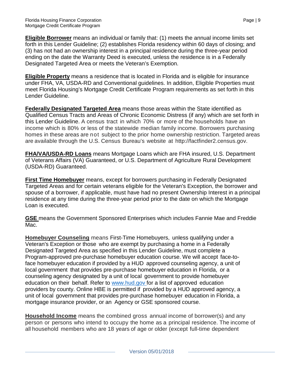**Eligible Borrower** means an individual or family that: (1) meets the annual income limits set forth in this Lender Guideline; (2) establishes Florida residency within 60 days of closing; and (3) has not had an ownership interest in a principal residence during the three-year period ending on the date the Warranty Deed is executed, unless the residence is in a Federally Designated Targeted Area or meets the Veteran's Exemption.

**Eligible Property** means a residence that is located in Florida and is eligible for insurance under FHA, VA, USDA-RD and Conventional guidelines. In addition, Eligible Properties must meet Florida Housing's Mortgage Credit Certificate Program requirements as set forth in this Lender Guideline.

**Federally Designated Targeted Area** means those areas within the State identified as Qualified Census Tracts and Areas of Chronic Economic Distress (if any) which are set forth in this Lender Guideline. A census tract in which 70% or more of the households have an income which is 80% or less of the statewide median family income. Borrowers purchasing homes in these areas are not subject to the prior home ownership restriction. Targeted areas are available through the U.S. Census Bureau's website at [http://factfinder2.census.gov.](http://factfinder2.census.gov/)

**FHA/VA/USDA-RD Loans** means Mortgage Loans which are FHA insured, U.S. Department of Veterans Affairs (VA) Guaranteed, or U.S. Department of Agriculture Rural Development (USDA-RD) Guaranteed.

**First Time Homebuyer** means, except for borrowers purchasing in Federally Designated Targeted Areas and for certain veterans eligible for the Veteran's Exception, the borrower and spouse of a borrower, if applicable, must have had no present Ownership Interest in a principal residence at any time during the three-year period prior to the date on which the Mortgage Loan is executed.

**GSE** means the Government Sponsored Enterprises which includes Fannie Mae and Freddie Mac.

**Homebuyer Counseling** means First-Time Homebuyers, unless qualifying under a Veteran's Exception or those who are exempt by purchasing a home in a Federally Designated Targeted Area as specified in this Lender Guideline, must complete a Program-approved pre-purchase homebuyer education course. We will accept face-toface homebuyer education if provided by a HUD approved counseling agency, a unit of local government that provides pre-purchase homebuyer education in Florida, or a counseling agency designated by a unit of local government to provide homebuyer education on their behalf. Refer to [www.hud.gov f](http://www.floridahousing.org/)or a list of approved education providers by county. Online HBE is permitted if provided by a HUD approved agency, a unit of local government that provides pre-purchase homebuyer education in Florida, a mortgage insurance provider, or an Agency or GSE sponsored course.

**Household Income** means the combined gross annual income of borrower(s) and any person or persons who intend to occupy the home as a principal residence. The income of all household members who are 18 years of age or older (except full-time dependent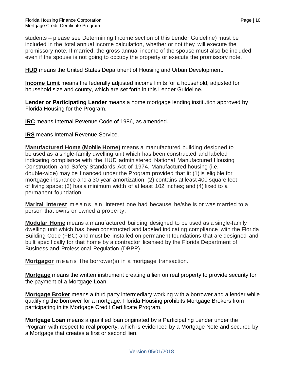students – please see Determining Income section of this Lender Guideline) must be included in the total annual income calculation, whether or not they will execute the promissory note. If married, the gross annual income of the spouse must also be included even if the spouse is not going to occupy the property or execute the promissory note.

**HUD** means the United States Department of Housing and Urban Development.

**Income Limit** means the federally adjusted income limits for a household, adjusted for household size and county, which are set forth in this Lender Guideline.

**Lender or Participating Lender** means a home mortgage lending institution approved by Florida Housing for the Program.

**IRC** means Internal Revenue Code of 1986, as amended.

**IRS** means Internal Revenue Service.

**Manufactured Home (Mobile Home)** means a manufactured building designed to be used as a single-family dwelling unit which has been constructed and labeled indicating compliance with the HUD administered National Manufactured Housing Construction and Safety Standards Act of 1974. Manufactured housing (i.e. double-wide) may be financed under the Program provided that it: (1) is eligible for mortgage insurance and a 30-year amortization; (2) contains at least 400 square feet of living space; (3) has a minimum width of at least 102 inches; and (4) fixed to a permanent foundation.

**Marital Interest** means an interest one had because he/she is or was married to a person that owns or owned a property.

**Modular Home** means a manufactured building designed to be used as a single-family dwelling unit which has been constructed and labeled indicating compliance with the Florida Building Code (FBC) and must be installed on permanent foundations that are designed and built specifically for that home by a contractor licensed by the Florida Department of Business and Professional Regulation (DBPR).

**Mortgagor** means the borrower(s) in a mortgage transaction.

**Mortgage** means the written instrument creating a lien on real property to provide security for the payment of a Mortgage Loan.

**Mortgage Broker** means a third party intermediary working with a borrower and a lender while qualifying the borrower for a mortgage. Florida Housing prohibits Mortgage Brokers from participating in its Mortgage Credit Certificate Program.

**Mortgage Loan** means a qualified loan originated by a Participating Lender under the Program with respect to real property, which is evidenced by a Mortgage Note and secured by a Mortgage that creates a first or second lien.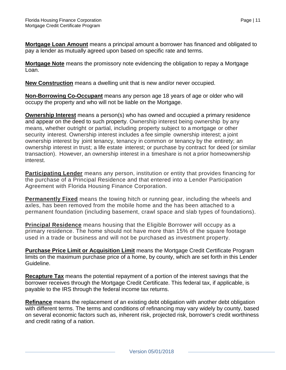**Mortgage Loan Amount** means a principal amount a borrower has financed and obligated to pay a lender as mutually agreed upon based on specific rate and terms.

**Mortgage Note** means the promissory note evidencing the obligation to repay a Mortgage Loan.

**New Construction** means a dwelling unit that is new and/or never occupied.

**Non-Borrowing Co-Occupant** means any person age 18 years of age or older who will occupy the property and who will not be liable on the Mortgage.

**Ownership Interest** means a person(s) who has owned and occupied a primary residence and appear on the deed to such property. Ownership interest being ownership by any means, whether outright or partial, including property subject to a mortgage or other security interest. Ownership interest includes a fee simple ownership interest; a joint ownership interest by joint tenancy, tenancy in common or tenancy by the entirety; an ownership interest in trust; a life estate interest; or purchase by contract for deed (or similar transaction). However, an ownership interest in a timeshare is not a prior homeownership interest.

**Participating Lender** means any person, institution or entity that provides financing for the purchase of a Principal Residence and that entered into a Lender Participation Agreement with Florida Housing Finance Corporation.

**Permanently Fixed** means the towing hitch or running gear, including the wheels and axles, has been removed from the mobile home and the has been attached to a permanent foundation (including basement, crawl space and slab types of foundations).

**Principal Residence** means housing that the Eligible Borrower will occupy as a primary residence. The home should not have more than 15% of the square footage used in a trade or business and will not be purchased as investment property.

**Purchase Price Limit or Acquisition Limit** means the Mortgage Credit Certificate Program limits on the maximum purchase price of a home, by county, which are set forth in this Lender Guideline.

**Recapture Tax** means the potential repayment of a portion of the interest savings that the borrower receives through the Mortgage Credit Certificate. This federal tax, if applicable, is payable to the IRS through the federal income tax returns.

**Refinance** means the replacement of an existing debt obligation with another debt obligation with different terms. The terms and conditions of refinancing may vary widely by county, based on several economic factors such as, inherent risk, projected risk, borrower's credit worthiness and credit rating of a nation.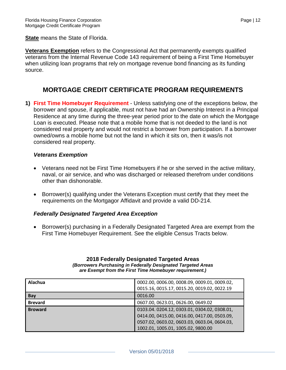**State** means the State of Florida.

**Veterans Exemption** refers to the Congressional Act that permanently exempts qualified veterans from the Internal Revenue Code 143 requirement of being a First Time Homebuyer when utilizing loan programs that rely on mortgage revenue bond financing as its funding source.

#### **MORTGAGE CREDIT CERTIFICATE PROGRAM REQUIREMENTS**

**1) First Time Homebuyer Requirement** - Unless satisfying one of the exceptions below, the borrower and spouse, if applicable, must not have had an Ownership Interest in a Principal Residence at any time during the three-year period prior to the date on which the Mortgage Loan is executed. Please note that a mobile home that is not deeded to the land is not considered real property and would not restrict a borrower from participation. If a borrower owned/owns a mobile home but not the land in which it sits on, then it was/is not considered real property.

#### *Veterans Exemption*

- Veterans need not be First Time Homebuyers if he or she served in the active military, naval, or air service, and who was discharged or released therefrom under conditions other than dishonorable.
- Borrower(s) qualifying under the Veterans Exception must certify that they meet the requirements on the Mortgagor Affidavit and provide a valid DD-214.

#### *Federally Designated Targeted Area Exception*

• Borrower(s) purchasing in a Federally Designated Targeted Area are exempt from the First Time Homebuyer Requirement. See the eligible Census Tracts below.

#### **2018 Federally Designated Targeted Areas** *(Borrowers Purchasing in Federally Designated Targeted Areas are Exempt from the First Time Homebuyer requirement.)*

| Alachua        | 0002.00, 0006.00, 0008.09, 0009.01, 0009.02, |
|----------------|----------------------------------------------|
|                | 0015.16, 0015.17, 0015.20, 0019.02, 0022.19  |
| Bay            | 0016.00                                      |
| <b>Brevard</b> | 0607.00, 0623.01, 0626.00, 0649.02           |
| <b>Broward</b> | 0103.04.0204.12,0303.01,0304.02,0308.01,     |
|                | 0414.00, 0415.00, 0416.00, 0417.00, 0503.09, |
|                | 0507.02, 0603.02, 0603.03, 0603.04, 0604.03, |
|                | 1002.01, 1005.01, 1005.02, 9800.00           |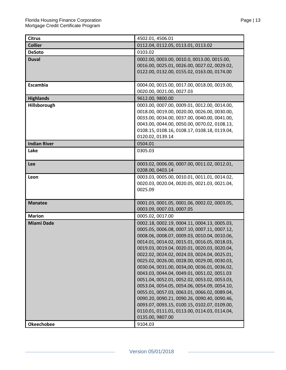| <b>Citrus</b>       | 4502.01, 4506.01                                                                             |
|---------------------|----------------------------------------------------------------------------------------------|
| <b>Collier</b>      | 0112.04, 0112.05, 0113.01, 0113.02                                                           |
| <b>DeSoto</b>       | 0103.02                                                                                      |
| <b>Duval</b>        | 0002.00, 0003.00, 0010.0, 0013.00, 0015.00,                                                  |
|                     | 0016.00, 0025.01, 0026.00, 0027.02, 0029.02,                                                 |
|                     | 0122.00, 0132.00, 0155.02, 0163.00, 0174.00                                                  |
|                     |                                                                                              |
| <b>Escambia</b>     | 0004.00, 0015.00, 0017.00, 0018.00, 0019.00,                                                 |
|                     | 0020.00, 0021.00, 0027.03                                                                    |
| <b>Highlands</b>    | 9612.00, 9800.00                                                                             |
| Hillsborough        | 0003.00, 0007.00, 0009.01, 0012.00, 0014.00,                                                 |
|                     | 0018.00, 0019.00, 0020.00, 0026.00, 0030.00,                                                 |
|                     | 0033.00, 0034.00, 0037.00, 0040.00, 0041.00,                                                 |
|                     | 0043.00, 0044.00, 0050.00, 0070.02, 0108.13,                                                 |
|                     | 0108.15, 0108.16, 0108.17, 0108.18, 0119.04,                                                 |
|                     | 0120.02, 0139.14                                                                             |
| <b>Indian River</b> | 0504.01                                                                                      |
| Lake                | 0305.03                                                                                      |
|                     |                                                                                              |
| Lee                 | 0003.02, 0006.00, 0007.00, 0011.02, 0012.01,                                                 |
|                     | 0208.00, 0403.14                                                                             |
| Leon                | 0003.03, 0005.00, 0010.01, 0011.01, 0014.02,                                                 |
|                     | 0020.03, 0020.04, 0020.05, 0021.03, 0021.04,                                                 |
|                     | 0025.09                                                                                      |
|                     |                                                                                              |
| <b>Manatee</b>      | 0001.03, 0001.05, 0001.06, 0002.02, 0003.05,                                                 |
|                     | 0003.09, 0007.03, 0007.05                                                                    |
| <b>Marion</b>       | 0005.02, 0017.00                                                                             |
| <b>Miami Dade</b>   | 0002.18, 0002.19, 0004.11, 0004.13, 0005.03,                                                 |
|                     | 0005.05, 0006.08, 0007.10, 0007.11, 0007.12,                                                 |
|                     | 0008.06, 0008.07, 0009.03, 0010.04, 0010.06,                                                 |
|                     | 0014.01, 0014.02, 0015.01, 0016.05, 0018.03,                                                 |
|                     | 0019.03, 0019.04, 0020.01, 0020.03, 0020.04,                                                 |
|                     | 0022.02, 0024.02, 0024.03, 0024.04, 0025.01,                                                 |
|                     | 0025.02, 0026.00, 0028.00, 0029.00, 0030.03,                                                 |
|                     | 0030.04, 0031.00, 0034,00, 0036.01, 0036.02,                                                 |
|                     | 0043.03, 0044.04, 0049.01, 0051.02, 0051.03                                                  |
|                     | 0051.04, 0052.01, 0052.02, 0053.02, 0053.03,                                                 |
|                     | 0053.04, 0054.05, 0054.06, 0054.09, 0054.10,                                                 |
|                     | 0055.01, 0057.03, 0063.01, 0066.02, 0089.04,                                                 |
|                     | 0090.20, 0090.21, 0090.26, 0090.40, 0090.46,<br>0093.07, 0093.15, 0100.15, 0102.07, 0109.00, |
|                     | 0110.01, 0111.01, 0113.00, 0114.03, 0114.04,                                                 |
|                     | 0135.00, 9807.00                                                                             |
|                     |                                                                                              |
| <b>Okeechobee</b>   | 9104.03                                                                                      |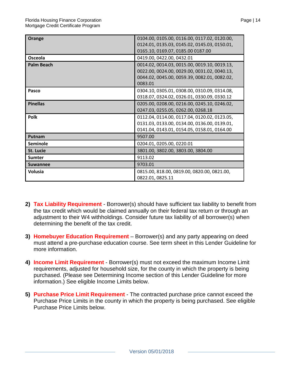| Orange            | 0104.00, 0105.00, 0116.00, 0117.02, 0120.00, |
|-------------------|----------------------------------------------|
|                   | 0124.01, 0135.03, 0145.02, 0145.03, 0150.01, |
|                   | 0165.10, 0169.07, 0185.00 0187.00            |
| Osceola           | 0419.00, 0422.00, 0432.01                    |
| <b>Palm Beach</b> | 0014.02, 0014.03, 0015.00, 0019.10, 0019.13, |
|                   | 0022.00, 0024.00, 0029.00, 0031.02, 0040.13, |
|                   | 0044.02, 0045.00, 0059.39, 0082.01, 0082.02, |
|                   | 0083.01                                      |
| Pasco             | 0304.10, 0305.01, 0308.00, 0310.09, 0314.08, |
|                   | 0318.07, 0324.02, 0326.01, 0330.09, 0330.12  |
| <b>Pinellas</b>   | 0205.00, 0208.00, 0216.00, 0245.10, 0246.02, |
|                   | 0247.03, 0255.05, 0262.00, 0268.18           |
| Polk              | 0112.04, 0114.00, 0117.04, 0120.02, 0123.05, |
|                   | 0131.03, 0133.00, 0134.00, 0136.00, 0139.01, |
|                   | 0141.04, 0143.01, 0154.05, 0158.01, 0164.00  |
| Putnam            | 9507.00                                      |
| Seminole          | 0204.01, 0205.00, 0220.01                    |
| St. Lucie         | 3801.00, 3802.00, 3803.00, 3804.00           |
| <b>Sumter</b>     | 9113.02                                      |
| <b>Suwannee</b>   | 9703.01                                      |
| <b>Volusia</b>    | 0815.00, 818.00, 0819.00, 0820.00, 0821.00,  |
|                   | 0822.01, 0825.11                             |

- **2) Tax Liability Requirement**  Borrower(s) should have sufficient tax liability to benefit from the tax credit which would be claimed annually on their federal tax return or through an adjustment to their W4 withholdings. Consider future tax liability of all borrower(s) when determining the benefit of the tax credit.
- **3) Homebuyer Education Requirement** Borrower(s) and any party appearing on deed must attend a pre-purchase education course. See term sheet in this Lender Guideline for more information.
- **4) Income Limit Requirement**  Borrower(s) must not exceed the maximum Income Limit requirements, adjusted for household size, for the county in which the property is being purchased. (Please see Determining Income section of this Lender Guideline for more information.) See eligible Income Limits below.
- **5) Purchase Price Limit Requirement** The contracted purchase price cannot exceed the Purchase Price Limits in the county in which the property is being purchased. See eligible Purchase Price Limits below.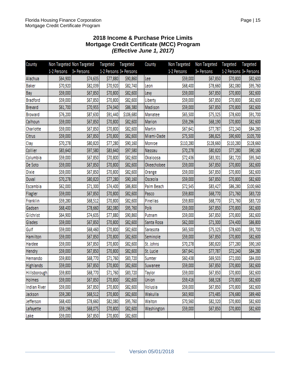#### **2018 Income & Purchase Price Limits Mortgage Credit Certificate (MCC) Program** *(Effective June 1, 2017)*

| County              |             | Non Targeted Non Targeted | Targeted               | Targeted  | County        | Non Targeted | Non Targeted | Targeted               | Targeted  |
|---------------------|-------------|---------------------------|------------------------|-----------|---------------|--------------|--------------|------------------------|-----------|
|                     | 1-2 Persons | 3+ Persons                | 1-2 Persons 3+ Persons |           |               | 1-2 Persons  | 3+ Persons   | 1-2 Persons 3+ Persons |           |
| Alachua             | \$64,900    | \$74,635                  | \$77,880               | \$90,860  | Lee           | \$59,000     | \$67,850     | \$70,800               | \$82,600  |
| <b>Baker</b>        | \$70,920    | \$82,039                  | \$70,920               | \$82,740  | Leon          | \$68,400     | \$78,660     | \$82,080               | \$95,760  |
| Bay                 | \$59,000    | \$67,850                  | \$70,800               | \$82,600  | Lew           | \$59,000     | \$67,850     | \$70,800               | \$82,600  |
| <b>Bradford</b>     | \$59,000    | \$67,850                  | \$70,800               | \$82,600  | Liberty       | \$59,000     | \$67,850     | \$70,800               | \$82,600  |
| <b>Brevard</b>      | \$61,700    | \$70,955                  | \$74,040               | \$86,380  | Madison       | \$59,000     | \$67,850     | \$70,800               | \$82,600  |
| <b>Broward</b>      | \$76,200    | \$87,630                  | \$91,440               | \$106,680 | Manatee       | \$65,500     | \$75,325     | \$78,600               | \$91,700  |
| Calhoun             | \$59,000    | \$67,850                  | \$70,800               | \$82,600  | <b>Marion</b> | \$59,296     | \$68,190     | \$70,800               | \$82,600  |
| Charlotte           | \$59,000    | \$67,850                  | \$70,800               | \$82,600  | Martin        | \$67,641     | \$77,787     | \$72,240               | \$84,280  |
| Citrus              | \$59,000    | \$67,850                  | \$70,800               | \$82,600  | Miami-Dade    | \$75,500     | \$86,825     | \$90,600               | \$105,700 |
| Clay                | \$70,278    | \$80,820                  | \$77,280               | \$90,160  | Monroe        | \$110,280    | \$128,660    | \$110,280              | \$128,660 |
| Collier             | \$83,640    | \$97,580                  | \$83,640               | \$97,580  | Nassau        | \$70,278     | \$80,820     | \$77,280               | \$90,160  |
| Columbia            | \$59,000    | \$67,850                  | \$70,800               | \$82,600  | Okaloosa      | \$72,436     | \$83,301     | \$81,720               | \$95,340  |
| De Soto             | \$59,000    | \$67,850                  | \$70,800               | \$82,600  | Okeechobee    | \$59,000     | \$67,850     | \$70,800               | \$82,600  |
| Dixie               | \$59,000    | \$67,850                  | \$70,800               | \$82,600  | Orange        | \$59,000     | \$67,850     | \$70,800               | \$82,600  |
| Duval               | \$70,278    | \$80,820                  | \$77,280               | \$90,160  | Osceola       | \$59,000     | \$67,850     | \$70,800               | \$82,600  |
| Escambia            | \$62,000    | \$71,300                  | \$74,400               | \$86,800  | Palm Beach    | \$72,545     | \$83,427     | \$86,280               | \$100,660 |
| Flagler             | \$59,000    | \$67,850                  | \$70,800               | \$82,600  | Pasco         | \$59,800     | \$68,770     | \$71,760               | \$83,720  |
| Franklin            | \$59,280    | \$68,512                  | \$70,800               | \$82,600  | Pinellas      | \$59,800     | \$68,770     | \$71,760               | \$83,720  |
| Gadsen              | \$68,400    | \$78,660                  | \$82,080               | \$95,760  | Polk          | \$59,000     | \$67,850     | \$70,800               | \$82,600  |
| Gilchrist           | \$64,900    | \$74,635                  | \$77,880               | \$90,860  | Putnam        | \$59,000     | \$67,850     | \$70,800               | \$82,600  |
| Glades              | \$59,000    | \$67,850                  | \$70,800               | \$82,600  | Santa Rosa    | \$62,000     | \$71,300     | \$74,400               | \$86,800  |
| Gulf                | \$59,000    | \$68,460                  | \$70,800               | \$82,600  | Sarasota      | \$65,500     | \$75,325     | \$78,600               | \$91,700  |
| Hamilton            | \$59,000    | \$67,850                  | \$70,800               | \$82,600  | Seminole      | \$59,000     | \$67,850     | \$70,800               | \$82,600  |
| Hardee              | \$59,000    | \$67,850                  | \$70,800               | \$82,600  | St. Johns     | \$70,278     | \$80,820     | \$77,280               | \$90,160  |
| Hendry              | \$59,000    | \$67,850                  | \$70,800               | \$82,600  | St. Lucie     | \$67,641     | \$77,787     | \$72,240               | \$84,280  |
| Hernando            | \$59,800    | \$68,770                  | \$71,760               | \$83,720  | Sumter        | \$60,438     | \$69,503     | \$72,000               | \$84,000  |
| <b>Highlands</b>    | \$59,000    | \$67,850                  | \$70,800               | \$82,600  | Suwanee       | \$59,000     | \$67,850     | \$70,800               | \$82,600  |
| Hillsborough        | \$59,800    | \$68,770                  | \$71,760               | \$83,720  | Taylor        | \$59,000     | \$67,850     | \$70,800               | \$82,600  |
| <b>Holmes</b>       | \$59,000    | \$67,850                  | \$70,800               | \$82,600  | Union         | \$59,416     | \$68,328     | \$70,800               | \$82,600  |
| <b>Indian River</b> | \$59,000    | \$67,850                  | \$70,800               | \$82,600  | Volusia       | \$59,000     | \$67,850     | \$70,800               | \$82,600  |
| Jackson             | \$59,280    | \$68,512                  | \$70,800               | \$82,600  | Wakulla       | \$63,900     | \$73,485     | \$76,680               | \$89,460  |
| Jefferson           | \$68,400    | \$78,660                  | \$82,080               | \$95,760  | Walton        | \$70,560     | \$82,320     | \$70,800               | \$82,600  |
| Lafayette           | \$59,196    | \$68,075                  | \$70,800               | \$82,600  | Washington    | \$59,000     | \$67,850     | \$70,800               | \$82,600  |
| Lake                | \$59,000    | \$67,850                  | \$70,800               | \$82,600  |               |              |              |                        |           |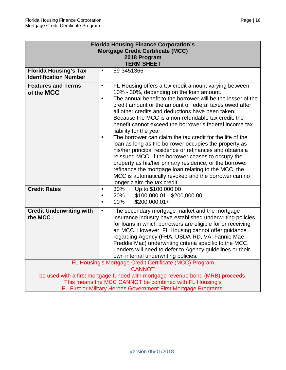| <b>Florida Housing Finance Corporation's</b>                                                                                               |                                                                                                                                                                                                                                                                                                                                                                                                                                                                                                                                                                                                                                                                                                                                                                                                                                                                                                                        |  |  |  |
|--------------------------------------------------------------------------------------------------------------------------------------------|------------------------------------------------------------------------------------------------------------------------------------------------------------------------------------------------------------------------------------------------------------------------------------------------------------------------------------------------------------------------------------------------------------------------------------------------------------------------------------------------------------------------------------------------------------------------------------------------------------------------------------------------------------------------------------------------------------------------------------------------------------------------------------------------------------------------------------------------------------------------------------------------------------------------|--|--|--|
| <b>Mortgage Credit Certificate (MCC)</b><br>2018 Program                                                                                   |                                                                                                                                                                                                                                                                                                                                                                                                                                                                                                                                                                                                                                                                                                                                                                                                                                                                                                                        |  |  |  |
|                                                                                                                                            | <b>TERM SHEET</b>                                                                                                                                                                                                                                                                                                                                                                                                                                                                                                                                                                                                                                                                                                                                                                                                                                                                                                      |  |  |  |
| <b>Florida Housing's Tax</b><br><b>Identification Number</b>                                                                               | 59-3451366<br>$\bullet$                                                                                                                                                                                                                                                                                                                                                                                                                                                                                                                                                                                                                                                                                                                                                                                                                                                                                                |  |  |  |
| <b>Features and Terms</b><br>of the MCC                                                                                                    | FL Housing offers a tax credit amount varying between<br>$\bullet$<br>10% - 30%, depending on the loan amount.<br>The annual benefit to the borrower will be the lesser of the<br>$\bullet$<br>credit amount or the amount of federal taxes owed after<br>all other credits and deductions have been taken.<br>Because the MCC is a non-refundable tax credit, the<br>benefit cannot exceed the borrower's federal income tax<br>liability for the year.<br>The borrower can claim the tax credit for the life of the<br>$\bullet$<br>loan as long as the borrower occupies the property as<br>his/her principal residence or refinances and obtains a<br>reissued MCC. If the borrower ceases to occupy the<br>property as his/her primary residence, or the borrower<br>refinance the mortgage loan relating to the MCC, the<br>MCC is automatically revoked and the borrower can no<br>longer claim the tax credit. |  |  |  |
| <b>Credit Rates</b>                                                                                                                        | 30%<br>Up to \$100,000.00<br>$\bullet$<br>\$100,000.01 - \$200,000.00<br>20%<br>$\bullet$<br>$$200,000.01+$<br>10%<br>$\bullet$                                                                                                                                                                                                                                                                                                                                                                                                                                                                                                                                                                                                                                                                                                                                                                                        |  |  |  |
| <b>Credit Underwriting with</b><br>the MCC                                                                                                 | The secondary mortgage market and the mortgage<br>$\bullet$<br>insurance industry have established underwriting policies<br>for loans in which borrowers are eligible for or receiving<br>an MCC. However, FL Housing cannot offer guidance<br>regarding Agency (FHA, USDA-RD, VA, Fannie Mae,<br>Freddie Mac) underwriting criteria specific to the MCC.<br>Lenders will need to defer to Agency guidelines or their<br>own internal underwriting policies.                                                                                                                                                                                                                                                                                                                                                                                                                                                           |  |  |  |
|                                                                                                                                            | FL Housing's Mortgage Credit Certificate (MCC) Program                                                                                                                                                                                                                                                                                                                                                                                                                                                                                                                                                                                                                                                                                                                                                                                                                                                                 |  |  |  |
| <b>CANNOT</b>                                                                                                                              |                                                                                                                                                                                                                                                                                                                                                                                                                                                                                                                                                                                                                                                                                                                                                                                                                                                                                                                        |  |  |  |
| be used with a first mortgage funded with mortgage revenue bond (MRB) proceeds.<br>This means the MCC CANNOT be combined with FL Housing's |                                                                                                                                                                                                                                                                                                                                                                                                                                                                                                                                                                                                                                                                                                                                                                                                                                                                                                                        |  |  |  |
|                                                                                                                                            | FL First or Military Heroes Government First Mortgage Programs.                                                                                                                                                                                                                                                                                                                                                                                                                                                                                                                                                                                                                                                                                                                                                                                                                                                        |  |  |  |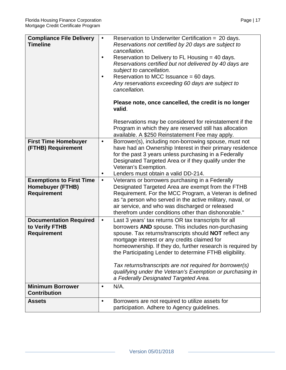| <b>Compliance File Delivery</b><br><b>Timeline</b>                               | Reservation to Underwriter Certification = 20 days.<br>$\bullet$<br>Reservations not certified by 20 days are subject to<br>cancellation.<br>Reservation to Delivery to FL Housing = 40 days.<br>$\bullet$<br>Reservations certified but not delivered by 40 days are<br>subject to cancellation.<br>Reservation to MCC Issuance = 60 days.<br>$\bullet$<br>Any reservations exceeding 60 days are subject to<br>cancellation.<br>Please note, once cancelled, the credit is no longer<br>valid.<br>Reservations may be considered for reinstatement if the<br>Program in which they are reserved still has allocation |
|----------------------------------------------------------------------------------|------------------------------------------------------------------------------------------------------------------------------------------------------------------------------------------------------------------------------------------------------------------------------------------------------------------------------------------------------------------------------------------------------------------------------------------------------------------------------------------------------------------------------------------------------------------------------------------------------------------------|
|                                                                                  | available. A \$250 Reinstatement Fee may apply.                                                                                                                                                                                                                                                                                                                                                                                                                                                                                                                                                                        |
| <b>First Time Homebuyer</b><br>(FTHB) Requirement                                | Borrower(s), including non-borrowing spouse, must not<br>$\bullet$<br>have had an Ownership Interest in their primary residence<br>for the past 3 years unless purchasing in a Federally<br>Designated Targeted Area or if they qualify under the<br>Veteran's Exemption.<br>Lenders must obtain a valid DD-214.<br>$\bullet$                                                                                                                                                                                                                                                                                          |
| <b>Exemptions to First Time</b><br><b>Homebuyer (FTHB)</b><br><b>Requirement</b> | Veterans or borrowers purchasing in a Federally<br>$\bullet$<br>Designated Targeted Area are exempt from the FTHB<br>Requirement. For the MCC Program, a Veteran is defined<br>as "a person who served in the active military, naval, or<br>air service, and who was discharged or released<br>therefrom under conditions other than dishonorable."                                                                                                                                                                                                                                                                    |
| <b>Documentation Required</b><br>to Verify FTHB<br><b>Requirement</b>            | Last 3 years' tax returns OR tax transcripts for all<br>$\bullet$<br>borrowers AND spouse. This includes non-purchasing<br>spouse. Tax returns/transcripts should NOT reflect any<br>mortgage interest or any credits claimed for<br>homeownership. If they do, further research is required by<br>the Participating Lender to determine FTHB eligibility.<br>Tax returns/transcripts are not required for borrower(s)<br>qualifying under the Veteran's Exemption or purchasing in<br>a Federally Designated Targeted Area.                                                                                           |
| <b>Minimum Borrower</b><br><b>Contribution</b>                                   | N/A.<br>$\bullet$                                                                                                                                                                                                                                                                                                                                                                                                                                                                                                                                                                                                      |
|                                                                                  |                                                                                                                                                                                                                                                                                                                                                                                                                                                                                                                                                                                                                        |
| <b>Assets</b>                                                                    | Borrowers are not required to utilize assets for<br>$\bullet$<br>participation. Adhere to Agency guidelines.                                                                                                                                                                                                                                                                                                                                                                                                                                                                                                           |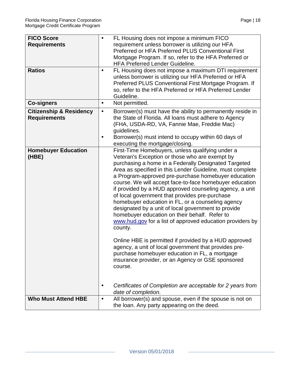| <b>FICO Score</b><br><b>Requirements</b><br><b>Ratios</b><br><b>Co-signers</b> | $\bullet$<br>$\bullet$<br>$\bullet$ | FL Housing does not impose a minimum FICO<br>requirement unless borrower is utilizing our HFA<br>Preferred or HFA Preferred PLUS Conventional First<br>Mortgage Program. If so, refer to the HFA Preferred or<br><b>HFA Preferred Lender Guideline.</b><br>FL Housing does not impose a maximum DTI requirement<br>unless borrower is utilizing our HFA Preferred or HFA<br>Preferred PLUS Conventional First Mortgage Program. If<br>so, refer to the HFA Preferred or HFA Preferred Lender<br>Guideline.<br>Not permitted.                                                                                                                                                                                                                                                                                                                                                                                         |
|--------------------------------------------------------------------------------|-------------------------------------|----------------------------------------------------------------------------------------------------------------------------------------------------------------------------------------------------------------------------------------------------------------------------------------------------------------------------------------------------------------------------------------------------------------------------------------------------------------------------------------------------------------------------------------------------------------------------------------------------------------------------------------------------------------------------------------------------------------------------------------------------------------------------------------------------------------------------------------------------------------------------------------------------------------------|
|                                                                                |                                     |                                                                                                                                                                                                                                                                                                                                                                                                                                                                                                                                                                                                                                                                                                                                                                                                                                                                                                                      |
| <b>Citizenship &amp; Residency</b><br><b>Requirements</b>                      | $\bullet$<br>$\bullet$              | Borrower(s) must have the ability to permanently reside in<br>the State of Florida. All loans must adhere to Agency<br>(FHA, USDA-RD, VA, Fannie Mae, Freddie Mac)<br>guidelines.<br>Borrower(s) must intend to occupy within 60 days of<br>executing the mortgage/closing.                                                                                                                                                                                                                                                                                                                                                                                                                                                                                                                                                                                                                                          |
| <b>Homebuyer Education</b><br>(HBE)                                            |                                     | First-Time Homebuyers, unless qualifying under a<br>Veteran's Exception or those who are exempt by<br>purchasing a home in a Federally Designated Targeted<br>Area as specified in this Lender Guideline, must complete<br>a Program-approved pre-purchase homebuyer education<br>course. We will accept face-to-face homebuyer education<br>if provided by a HUD approved counseling agency, a unit<br>of local government that provides pre-purchase<br>homebuyer education in FL, or a counseling agency<br>designated by a unit of local government to provide<br>homebuyer education on their behalf. Refer to<br>www.hud.gov for a list of approved education providers by<br>county.<br>Online HBE is permitted if provided by a HUD approved<br>agency, a unit of local government that provides pre-<br>purchase homebuyer education in FL, a mortgage<br>insurance provider, or an Agency or GSE sponsored |
|                                                                                | $\bullet$                           | course.<br>Certificates of Completion are acceptable for 2 years from<br>date of completion.                                                                                                                                                                                                                                                                                                                                                                                                                                                                                                                                                                                                                                                                                                                                                                                                                         |
| <b>Who Must Attend HBE</b>                                                     | $\bullet$                           | All borrower(s) and spouse, even if the spouse is not on<br>the loan. Any party appearing on the deed.                                                                                                                                                                                                                                                                                                                                                                                                                                                                                                                                                                                                                                                                                                                                                                                                               |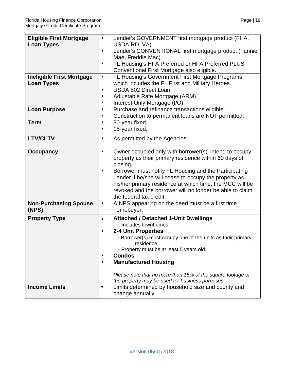| <b>Eligible First Mortgage</b>   | Lender's GOVERNMENT first mortgage product (FHA,<br>$\bullet$       |
|----------------------------------|---------------------------------------------------------------------|
|                                  |                                                                     |
| <b>Loan Types</b>                | USDA-RD, VA).                                                       |
|                                  | Lender's CONVENTIONAL first mortgage product (Fannie<br>$\bullet$   |
|                                  | Mae, Freddie Mac).                                                  |
|                                  | FL Housing's HFA Preferred or HFA Preferred PLUS<br>$\bullet$       |
|                                  | Conventional First Mortgage also eligible.                          |
| <b>Ineligible First Mortgage</b> | FL Housing's Government First Mortgage Programs<br>$\bullet$        |
| <b>Loan Types</b>                | which includes the FL First and Military Heroes.                    |
|                                  | USDA 502 Direct Loan.<br>$\bullet$                                  |
|                                  | Adjustable Rate Mortgage (ARM).                                     |
|                                  | Interest Only Mortgage (I/O).<br>$\bullet$                          |
| <b>Loan Purpose</b>              | Purchase and refinance transactions eligible.<br>$\bullet$          |
|                                  | $\bullet$                                                           |
|                                  | Construction to permanent loans are NOT permitted.                  |
| <b>Term</b>                      | 30-year fixed.<br>$\bullet$                                         |
|                                  | 15-year fixed.<br>$\bullet$                                         |
| <b>LTV/CLTV</b>                  | As permitted by the Agencies.<br>$\bullet$                          |
|                                  |                                                                     |
| <b>Occupancy</b>                 | Owner occupied only with borrower(s)' intend to occupy<br>$\bullet$ |
|                                  | property as their primary residence within 60 days of               |
|                                  | closing.                                                            |
|                                  | Borrower must notify FL Housing and the Participating<br>$\bullet$  |
|                                  | Lender if he/she will cease to occupy the property as               |
|                                  | his/her primary residence at which time, the MCC will be            |
|                                  |                                                                     |
|                                  | revoked and the borrower will no longer be able to claim            |
|                                  | the federal tax credit.                                             |
| <b>Non-Purchasing Spouse</b>     | A NPS appearing on the deed must be a first time<br>$\bullet$       |
| (NPS)                            | homebuyer.                                                          |
| <b>Property Type</b>             | <b>Attached / Detached 1-Unit Dwellings</b><br>$\bullet$            |
|                                  | - Includes townhomes                                                |
|                                  | <b>2-4 Unit Properties</b><br>$\bullet$                             |
|                                  | - Borrower(s) must occupy one of the units as their primary         |
|                                  | residence.                                                          |
|                                  | - Property must be at least 5 years old.                            |
|                                  | <b>Condos</b><br>$\bullet$                                          |
|                                  | <b>Manufactured Housing</b><br>$\bullet$                            |
|                                  |                                                                     |
|                                  | Please note that no more than 15% of the square footage of          |
|                                  | the property may be used for business purposes.                     |
| <b>Income Limits</b>             | Limits determined by household size and county and<br>$\bullet$     |
|                                  | change annually.                                                    |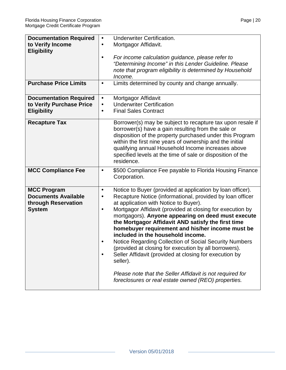| <b>Documentation Required</b>                                                            | <b>Underwriter Certification.</b><br>$\bullet$                                                                                                                                                                                                                                                                                                                                                                                                                                                                                                                                                                                                                                                                                                                                                      |
|------------------------------------------------------------------------------------------|-----------------------------------------------------------------------------------------------------------------------------------------------------------------------------------------------------------------------------------------------------------------------------------------------------------------------------------------------------------------------------------------------------------------------------------------------------------------------------------------------------------------------------------------------------------------------------------------------------------------------------------------------------------------------------------------------------------------------------------------------------------------------------------------------------|
| to Verify Income                                                                         | Mortgagor Affidavit.<br>$\bullet$                                                                                                                                                                                                                                                                                                                                                                                                                                                                                                                                                                                                                                                                                                                                                                   |
| <b>Eligibility</b>                                                                       | For income calculation guidance, please refer to<br>$\bullet$<br>"Determining Income" in this Lender Guideline. Please<br>note that program eligibility is determined by Household<br>Income.                                                                                                                                                                                                                                                                                                                                                                                                                                                                                                                                                                                                       |
| <b>Purchase Price Limits</b>                                                             | Limits determined by county and change annually.<br>$\bullet$                                                                                                                                                                                                                                                                                                                                                                                                                                                                                                                                                                                                                                                                                                                                       |
| <b>Documentation Required</b><br>to Verify Purchase Price<br><b>Eligibility</b>          | Mortgagor Affidavit<br>$\bullet$<br><b>Underwriter Certification</b><br>$\bullet$<br><b>Final Sales Contract</b><br>$\bullet$                                                                                                                                                                                                                                                                                                                                                                                                                                                                                                                                                                                                                                                                       |
| <b>Recapture Tax</b>                                                                     | Borrower(s) may be subject to recapture tax upon resale if<br>borrower(s) have a gain resulting from the sale or<br>disposition of the property purchased under this Program<br>within the first nine years of ownership and the initial<br>qualifying annual Household Income increases above<br>specified levels at the time of sale or disposition of the<br>residence.                                                                                                                                                                                                                                                                                                                                                                                                                          |
| <b>MCC Compliance Fee</b>                                                                | \$500 Compliance Fee payable to Florida Housing Finance<br>$\bullet$<br>Corporation.                                                                                                                                                                                                                                                                                                                                                                                                                                                                                                                                                                                                                                                                                                                |
| <b>MCC Program</b><br><b>Documents Available</b><br>through Reservation<br><b>System</b> | Notice to Buyer (provided at application by loan officer).<br>$\bullet$<br>Recapture Notice (informational, provided by loan officer<br>$\bullet$<br>at application with Notice to Buyer).<br>Mortgagor Affidavit (provided at closing for execution by<br>$\bullet$<br>mortgagors). Anyone appearing on deed must execute<br>the Mortgagor Affidavit AND satisfy the first time<br>homebuyer requirement and his/her income must be<br>included in the household income.<br>Notice Regarding Collection of Social Security Numbers<br>(provided at closing for execution by all borrowers).<br>Seller Affidavit (provided at closing for execution by<br>$\bullet$<br>seller).<br>Please note that the Seller Affidavit is not required for<br>foreclosures or real estate owned (REO) properties. |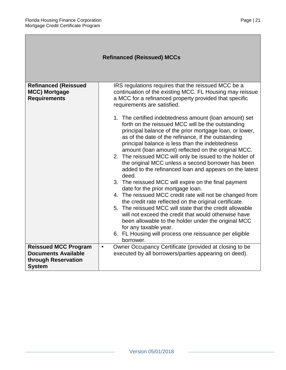| <b>Refinanced (Reissued) MCCs</b>                                                                 |                                                                                                                                                                                                                                                                                                                                                                                                                                                                                                                                                                                                                                                                                                                                                                                                                                                                                                                                                                                                                                                                                                                                                                                                                                        |
|---------------------------------------------------------------------------------------------------|----------------------------------------------------------------------------------------------------------------------------------------------------------------------------------------------------------------------------------------------------------------------------------------------------------------------------------------------------------------------------------------------------------------------------------------------------------------------------------------------------------------------------------------------------------------------------------------------------------------------------------------------------------------------------------------------------------------------------------------------------------------------------------------------------------------------------------------------------------------------------------------------------------------------------------------------------------------------------------------------------------------------------------------------------------------------------------------------------------------------------------------------------------------------------------------------------------------------------------------|
| <b>Refinanced (Reissued</b><br><b>MCC) Mortgage</b><br><b>Requirements</b>                        | IRS regulations requires that the reissued MCC be a<br>continuation of the existing MCC. FL Housing may reissue<br>a MCC for a refinanced property provided that specific<br>requirements are satisfied.<br>1. The certified indebtedness amount (loan amount) set<br>forth on the reissued MCC will be the outstanding<br>principal balance of the prior mortgage loan, or lower,<br>as of the date of the refinance, if the outstanding<br>principal balance is less than the indebtedness<br>amount (loan amount) reflected on the original MCC.<br>2. The reissued MCC will only be issued to the holder of<br>the original MCC unless a second borrower has been<br>added to the refinanced loan and appears on the latest<br>deed.<br>3. The reissued MCC will expire on the final payment<br>date for the prior mortgage loan.<br>4. The reissued MCC credit rate will not be changed from<br>the credit rate reflected on the original certificate.<br>5. The reissued MCC will state that the credit allowable<br>will not exceed the credit that would otherwise have<br>been allowable to the holder under the original MCC<br>for any taxable year.<br>6. FL Housing will process one reissuance per eligible<br>borrower. |
| <b>Reissued MCC Program</b><br><b>Documents Available</b><br>through Reservation<br><b>System</b> | Owner Occupancy Certificate (provided at closing to be<br>$\bullet$<br>executed by all borrowers/parties appearing on deed).                                                                                                                                                                                                                                                                                                                                                                                                                                                                                                                                                                                                                                                                                                                                                                                                                                                                                                                                                                                                                                                                                                           |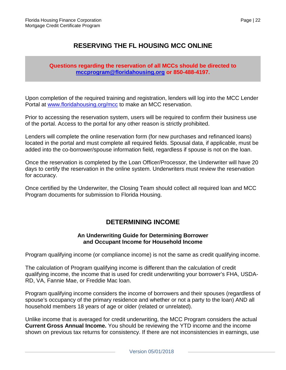## **RESERVING THE FL HOUSING MCC ONLINE**

#### **Questions regarding the reservation of all MCCs should be directed to [mccprogram@floridahousing.org](mailto:mccprogram@floridahousing.org) or 850-488-4197.**

Upon completion of the required training and registration, lenders will log into the MCC Lender Portal at [www.floridahousing.org/mcc](http://www.floridahousing.org/mcc) to make an MCC reservation.

Prior to accessing the reservation system, users will be required to confirm their business use of the portal. Access to the portal for any other reason is strictly prohibited.

Lenders will complete the online reservation form (for new purchases and refinanced loans) located in the portal and must complete all required fields. Spousal data, if applicable, must be added into the co-borrower/spouse information field, regardless if spouse is not on the loan.

Once the reservation is completed by the Loan Officer/Processor, the Underwriter will have 20 days to certify the reservation in the online system. Underwriters must review the reservation for accuracy.

Once certified by the Underwriter, the Closing Team should collect all required loan and MCC Program documents for submission to Florida Housing.

## **DETERMINING INCOME**

#### **An Underwriting Guide for Determining Borrower and Occupant Income for Household Income**

Program qualifying income (or compliance income) is not the same as credit qualifying income.

The calculation of Program qualifying income is different than the calculation of credit qualifying income, the income that is used for credit underwriting your borrower's FHA, USDA-RD, VA, Fannie Mae, or Freddie Mac loan.

Program qualifying income considers the income of borrowers and their spouses (regardless of spouse's occupancy of the primary residence and whether or not a party to the loan) AND all household members 18 years of age or older (related or unrelated).

Unlike income that is averaged for credit underwriting, the MCC Program considers the actual **Current Gross Annual Income.** You should be reviewing the YTD income and the income shown on previous tax returns for consistency. If there are not inconsistencies in earnings, use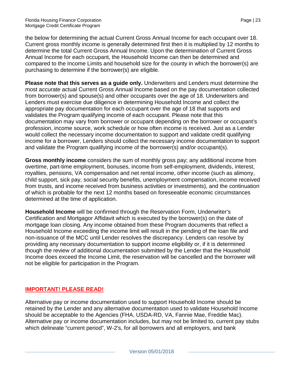the below for determining the actual Current Gross Annual Income for each occupant over 18. Current gross monthly income is generally determined first then it is multiplied by 12 months to determine the total Current Gross Annual Income. Upon the determination of Current Gross Annual Income for each occupant, the Household Income can then be determined and compared to the Income Limits and household size for the county in which the borrower(s) are purchasing to determine if the borrower(s) are eligible.

**Please note that this serves as a guide only.** Underwriters and Lenders must determine the most accurate actual Current Gross Annual Income based on the pay documentation collected from borrower(s) and spouse(s) and other occupants over the age of 18. Underwriters and Lenders must exercise due diligence in determining Household Income and collect the appropriate pay documentation for each occupant over the age of 18 that supports and validates the Program qualifying income of each occupant. Please note that this documentation may vary from borrower or occupant depending on the borrower or occupant's profession, income source, work schedule or how often income is received. Just as a Lender would collect the necessary income documentation to support and validate credit qualifying income for a borrower, Lenders should collect the necessary income documentation to support and validate the Program qualifying income of the borrower(s) and/or occupant(s).

**Gross monthly income** considers the sum of monthly gross pay; any additional income from overtime, part-time employment, bonuses, income from self-employment, dividends, interest, royalties, pensions, VA compensation and net rental income, other income (such as alimony, child support, sick pay, social security benefits, unemployment compensation, income received from trusts, and income received from business activities or investments), and the continuation of which is probable for the next 12 months based on foreseeable economic circumstances determined at the time of application.

**Household Income** will be confirmed through the Reservation Form, Underwriter's Certification and Mortgagor Affidavit which is executed by the borrower(s) on the date of mortgage loan closing. Any income obtained from these Program documents that reflect a Household Income exceeding the income limit will result in the pending of the loan file and non-issuance of the MCC until Lender resolves the discrepancy. Lenders can resolve by providing any necessary documentation to support income eligibility or, if it is determined though the review of additional documentation submitted by the Lender that the Household Income does exceed the Income Limit, the reservation will be cancelled and the borrower will not be eligible for participation in the Program.

#### **IMPORTANT! PLEASE READ!**

Alternative pay or income documentation used to support Household Income should be retained by the Lender and any alternative documentation used to validate Household Income should be acceptable to the Agencies (FHA, USDA-RD, VA, Fannie Mae, Freddie Mac). Alternative pay or income documentation includes, but may not be limited to, current pay stubs which delineate "current period", W-2's, for all borrowers and all employers, and bank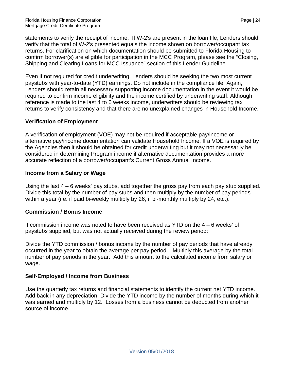statements to verify the receipt of income. If W-2's are present in the loan file, Lenders should verify that the total of W-2's presented equals the income shown on borrower/occupant tax returns. For clarification on which documentation should be submitted to Florida Housing to confirm borrower(s) are eligible for participation in the MCC Program, please see the "Closing, Shipping and Clearing Loans for MCC Issuance" section of this Lender Guideline.

Even if not required for credit underwriting, Lenders should be seeking the two most current paystubs with year-to-date (YTD) earnings. Do not include in the compliance file. Again, Lenders should retain all necessary supporting income documentation in the event it would be required to confirm income eligibility and the income certified by underwriting staff. Although reference is made to the last 4 to 6 weeks income, underwriters should be reviewing tax returns to verify consistency and that there are no unexplained changes in Household Income.

#### **Verification of Employment**

A verification of employment (VOE) may not be required if acceptable pay/income or alternative pay/income documentation can validate Household Income. If a VOE is required by the Agencies then it should be obtained for credit underwriting but it may not necessarily be considered in determining Program income if alternative documentation provides a more accurate reflection of a borrower/occupant's Current Gross Annual Income.

#### **Income from a Salary or Wage**

Using the last  $4 - 6$  weeks' pay stubs, add together the gross pay from each pay stub supplied. Divide this total by the number of pay stubs and then multiply by the number of pay periods within a year (i.e. if paid bi-weekly multiply by 26, if bi-monthly multiply by 24, etc.).

#### **Commission / Bonus Income**

If commission income was noted to have been received as YTD on the 4 – 6 weeks' of paystubs supplied, but was not actually received during the review period:

Divide the YTD commission / bonus income by the number of pay periods that have already occurred in the year to obtain the average per pay period. Multiply this average by the total number of pay periods in the year. Add this amount to the calculated income from salary or wage.

#### **Self-Employed / Income from Business**

Use the quarterly tax returns and financial statements to identify the current net YTD income. Add back in any depreciation. Divide the YTD income by the number of months during which it was earned and multiply by 12. Losses from a business cannot be deducted from another source of income.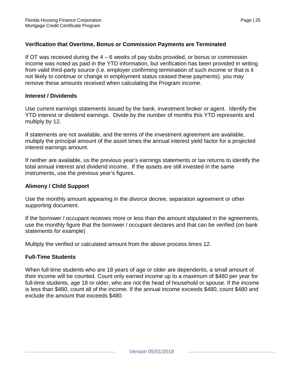#### **Verification that Overtime, Bonus or Commission Payments are Terminated**

If OT was received during the  $4 - 6$  weeks of pay stubs provided, or bonus or commission income was noted as paid in the YTD information, but verification has been provided in writing from valid third-party source (i.e. employer confirming termination of such income or that is it not likely to continue or change in employment status ceased these payments), you may remove these amounts received when calculating the Program income.

#### **Interest / Dividends**

Use current earnings statements issued by the bank, investment broker or agent. Identify the YTD interest or dividend earnings. Divide by the number of months this YTD represents and multiply by 12.

If statements are not available, and the terms of the investment agreement are available, multiply the principal amount of the asset times the annual interest yield factor for a projected interest earnings amount.

If neither are available, us the previous year's earnings statements or tax returns to identify the total annual interest and dividend income. If the assets are still invested in the same instruments, use the previous year's figures.

#### **Alimony / Child Support**

Use the monthly amount appearing in the divorce decree, separation agreement or other supporting document.

If the borrower / occupant receives more or less than the amount stipulated in the agreements, use the monthly figure that the borrower / occupant declares and that can be verified (on bank statements for example)

Multiply the verified or calculated amount from the above process times 12.

#### **Full-Time Students**

When full-time students who are 18 years of age or older are dependents, a small amount of their income will be counted. Count only earned income up to a maximum of \$480 per year for full-time students, age 18 or older, who are not the head of household or spouse. If the income is less than \$480, count all of the income. If the annual income exceeds \$480, count \$480 and exclude the amount that exceeds \$480.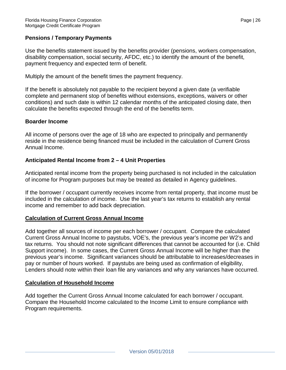#### **Pensions / Temporary Payments**

Use the benefits statement issued by the benefits provider (pensions, workers compensation, disability compensation, social security, AFDC, etc.) to identify the amount of the benefit, payment frequency and expected term of benefit.

Multiply the amount of the benefit times the payment frequency.

If the benefit is absolutely not payable to the recipient beyond a given date (a verifiable complete and permanent stop of benefits without extensions, exceptions, waivers or other conditions) and such date is within 12 calendar months of the anticipated closing date, then calculate the benefits expected through the end of the benefits term.

#### **Boarder Income**

All income of persons over the age of 18 who are expected to principally and permanently reside in the residence being financed must be included in the calculation of Current Gross Annual Income.

#### **Anticipated Rental Income from 2 – 4 Unit Properties**

Anticipated rental income from the property being purchased is not included in the calculation of income for Program purposes but may be treated as detailed in Agency guidelines.

If the borrower / occupant currently receives income from rental property, that income must be included in the calculation of income. Use the last year's tax returns to establish any rental income and remember to add back depreciation.

#### **Calculation of Current Gross Annual Income**

Add together all sources of income per each borrower / occupant. Compare the calculated Current Gross Annual Income to paystubs, VOE's, the previous year's income per W2's and tax returns. You should not note significant differences that cannot be accounted for (i.e. Child Support income). In some cases, the Current Gross Annual Income will be higher than the previous year's income. Significant variances should be attributable to increases/decreases in pay or number of hours worked. If paystubs are being used as confirmation of eligibility, Lenders should note within their loan file any variances and why any variances have occurred.

#### **Calculation of Household Income**

Add together the Current Gross Annual Income calculated for each borrower / occupant. Compare the Household Income calculated to the Income Limit to ensure compliance with Program requirements.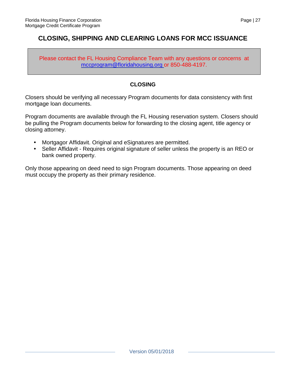## **CLOSING, SHIPPING AND CLEARING LOANS FOR MCC ISSUANCE**

Please contact the FL Housing Compliance Team with any questions or concerns at [mccprogram@floridahousing.org o](mailto:mccprogram@floridahousing.org)r 850-488-4197.

#### **CLOSING**

Closers should be verifying all necessary Program documents for data consistency with first mortgage loan documents.

Program documents are available through the FL Housing reservation system. Closers should be pulling the Program documents below for forwarding to the closing agent, title agency or closing attorney.

- Mortgagor Affidavit. Original and eSignatures are permitted.
- Seller Affidavit Requires original signature of seller unless the property is an REO or bank owned property.

Only those appearing on deed need to sign Program documents. Those appearing on deed must occupy the property as their primary residence.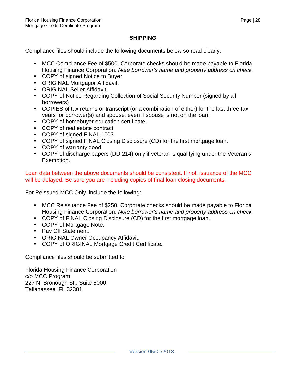#### **SHIPPING**

Compliance files should include the following documents below so read clearly:

- MCC Compliance Fee of \$500. Corporate checks should be made payable to Florida Housing Finance Corporation. *Note borrower's name and property address on check.*
- COPY of signed Notice to Buyer.
- ORIGINAL Mortgagor Affidavit.
- ORIGINAL Seller Affidavit.
- COPY of Notice Regarding Collection of Social Security Number (signed by all borrowers)
- COPIES of tax returns or transcript (or a combination of either) for the last three tax years for borrower(s) and spouse, even if spouse is not on the loan.
- COPY of homebuyer education certificate.
- COPY of real estate contract.
- COPY of signed FINAL 1003.
- COPY of signed FINAL Closing Disclosure (CD) for the first mortgage loan.
- COPY of warranty deed.
- COPY of discharge papers (DD-214) only if veteran is qualifying under the Veteran's Exemption.

Loan data between the above documents should be consistent. If not, issuance of the MCC will be delayed. Be sure you are including copies of final loan closing documents.

For Reissued MCC Only, include the following:

- MCC Reissuance Fee of \$250. Corporate checks should be made payable to Florida Housing Finance Corporation. *Note borrower's name and property address on check.*
- COPY of FINAL Closing Disclosure (CD) for the first mortgage loan.
- COPY of Mortgage Note.
- Pay Off Statement.
- ORIGINAL Owner Occupancy Affidavit.
- COPY of ORIGINAL Mortgage Credit Certificate.

Compliance files should be submitted to:

Florida Housing Finance Corporation c/o MCC Program 227 N. Bronough St., Suite 5000 Tallahassee, FL 32301